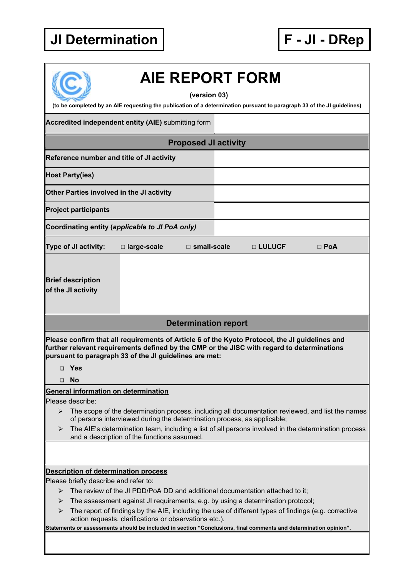## **JI Determination**

| F-JI-DRep |  |  |  |  |
|-----------|--|--|--|--|
|-----------|--|--|--|--|

| <b>AIE REPORT FORM</b><br>(version 03)<br>(to be completed by an AIE requesting the publication of a determination pursuant to paragraph 33 of the JI guidelines)                                                                                                                                                                                               |  |  |  |
|-----------------------------------------------------------------------------------------------------------------------------------------------------------------------------------------------------------------------------------------------------------------------------------------------------------------------------------------------------------------|--|--|--|
| <b>Accredited independent entity (AIE)</b> submitting form                                                                                                                                                                                                                                                                                                      |  |  |  |
| <b>Proposed JI activity</b>                                                                                                                                                                                                                                                                                                                                     |  |  |  |
| Reference number and title of JI activity                                                                                                                                                                                                                                                                                                                       |  |  |  |
| <b>Host Party(ies)</b>                                                                                                                                                                                                                                                                                                                                          |  |  |  |
| Other Parties involved in the JI activity                                                                                                                                                                                                                                                                                                                       |  |  |  |
| <b>Project participants</b>                                                                                                                                                                                                                                                                                                                                     |  |  |  |
| Coordinating entity (applicable to JI PoA only)                                                                                                                                                                                                                                                                                                                 |  |  |  |
| Type of JI activity:<br>□ large-scale<br>$\square$ small-scale<br>□ LULUCF<br>$\Box$ PoA                                                                                                                                                                                                                                                                        |  |  |  |
| <b>Brief description</b><br>of the JI activity                                                                                                                                                                                                                                                                                                                  |  |  |  |
| <b>Determination report</b>                                                                                                                                                                                                                                                                                                                                     |  |  |  |
| Please confirm that all requirements of Article 6 of the Kyoto Protocol, the JI guidelines and<br>further relevant requirements defined by the CMP or the JISC with regard to determinations<br>pursuant to paragraph 33 of the JI guidelines are met:                                                                                                          |  |  |  |
| $\Box$ Yes                                                                                                                                                                                                                                                                                                                                                      |  |  |  |
| <b>No</b><br>$\Box$                                                                                                                                                                                                                                                                                                                                             |  |  |  |
| General information on determination                                                                                                                                                                                                                                                                                                                            |  |  |  |
| Please describe:<br>The scope of the determination process, including all documentation reviewed, and list the names<br>➤<br>of persons interviewed during the determination process, as applicable;<br>The AIE's determination team, including a list of all persons involved in the determination process<br>➤<br>and a description of the functions assumed. |  |  |  |
|                                                                                                                                                                                                                                                                                                                                                                 |  |  |  |
| <b>Description of determination process</b>                                                                                                                                                                                                                                                                                                                     |  |  |  |
| Please briefly describe and refer to:                                                                                                                                                                                                                                                                                                                           |  |  |  |
| The review of the JI PDD/PoA DD and additional documentation attached to it;<br>➤<br>The assessment against JI requirements, e.g. by using a determination protocol;<br>➤                                                                                                                                                                                       |  |  |  |
| The report of findings by the AIE, including the use of different types of findings (e.g. corrective<br>➤<br>action requests, clarifications or observations etc.).                                                                                                                                                                                             |  |  |  |
| Statements or assessments should be included in section "Conclusions, final comments and determination opinion".                                                                                                                                                                                                                                                |  |  |  |